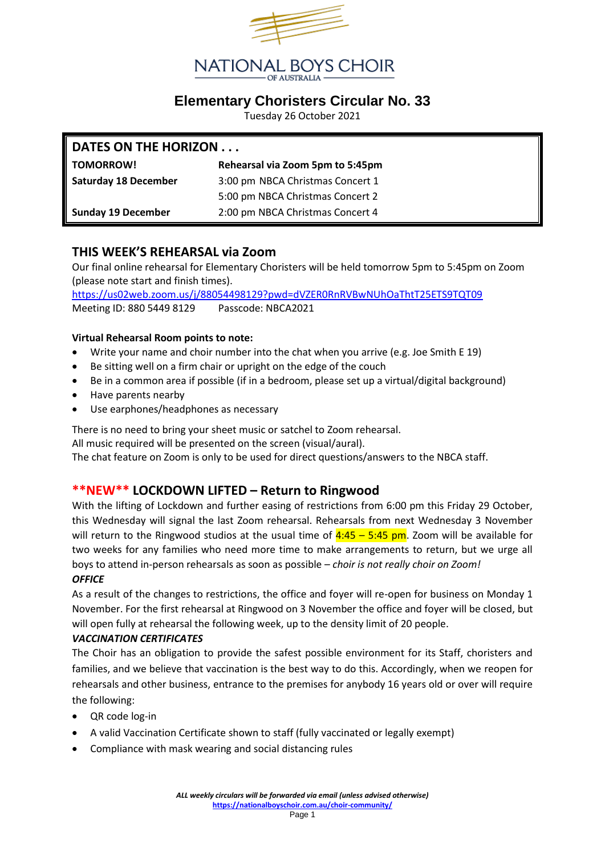

# **Elementary Choristers Circular No. 33**

Tuesday 26 October 2021

### **DATES ON THE HORIZON . . .**

| <b>TOMORROW!</b>            | Rehearsal via Zoom 5pm to 5:45pm |
|-----------------------------|----------------------------------|
| <b>Saturday 18 December</b> | 3:00 pm NBCA Christmas Concert 1 |
|                             | 5:00 pm NBCA Christmas Concert 2 |
| <b>Sunday 19 December</b>   | 2:00 pm NBCA Christmas Concert 4 |

## **THIS WEEK'S REHEARSAL via Zoom**

Our final online rehearsal for Elementary Choristers will be held tomorrow 5pm to 5:45pm on Zoom (please note start and finish times).

<https://us02web.zoom.us/j/88054498129?pwd=dVZER0RnRVBwNUhOaThtT25ETS9TQT09> Meeting ID: 880 5449 8129 Passcode: NBCA2021

#### **Virtual Rehearsal Room points to note:**

- Write your name and choir number into the chat when you arrive (e.g. Joe Smith E 19)
- Be sitting well on a firm chair or upright on the edge of the couch
- Be in a common area if possible (if in a bedroom, please set up a virtual/digital background)
- Have parents nearby
- Use earphones/headphones as necessary

There is no need to bring your sheet music or satchel to Zoom rehearsal.

All music required will be presented on the screen (visual/aural).

The chat feature on Zoom is only to be used for direct questions/answers to the NBCA staff.

## **\*\*NEW\*\* LOCKDOWN LIFTED – Return to Ringwood**

With the lifting of Lockdown and further easing of restrictions from 6:00 pm this Friday 29 October, this Wednesday will signal the last Zoom rehearsal. Rehearsals from next Wednesday 3 November will return to the Ringwood studios at the usual time of  $4:45 - 5:45$  pm. Zoom will be available for two weeks for any families who need more time to make arrangements to return, but we urge all boys to attend in-person rehearsals as soon as possible – *choir is not really choir on Zoom! OFFICE*

# As a result of the changes to restrictions, the office and foyer will re-open for business on Monday 1 November. For the first rehearsal at Ringwood on 3 November the office and foyer will be closed, but will open fully at rehearsal the following week, up to the density limit of 20 people.

#### *VACCINATION CERTIFICATES*

The Choir has an obligation to provide the safest possible environment for its Staff, choristers and families, and we believe that vaccination is the best way to do this. Accordingly, when we reopen for rehearsals and other business, entrance to the premises for anybody 16 years old or over will require the following:

- QR code log-in
- A valid Vaccination Certificate shown to staff (fully vaccinated or legally exempt)
- Compliance with mask wearing and social distancing rules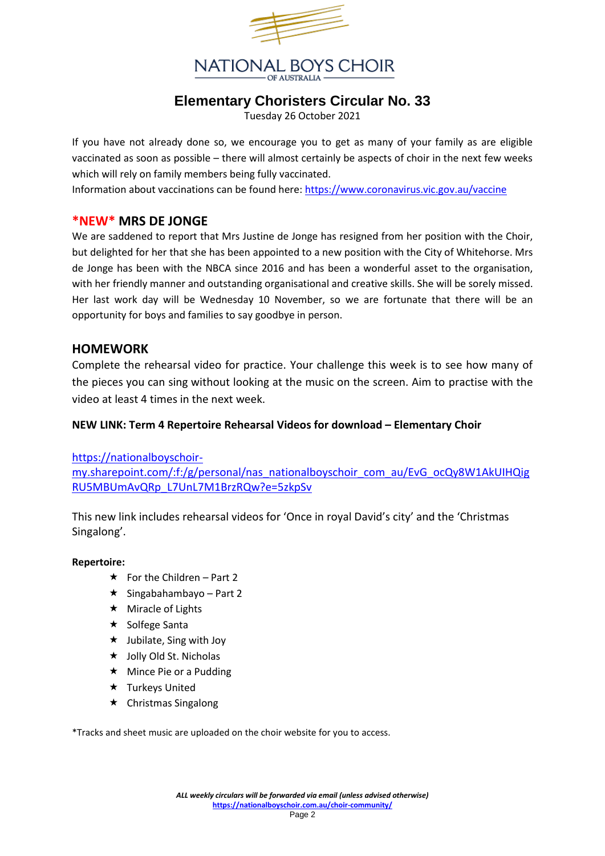

# **Elementary Choristers Circular No. 33**

Tuesday 26 October 2021

If you have not already done so, we encourage you to get as many of your family as are eligible vaccinated as soon as possible – there will almost certainly be aspects of choir in the next few weeks which will rely on family members being fully vaccinated.

Information about vaccinations can be found here:<https://www.coronavirus.vic.gov.au/vaccine>

## **\*NEW\* MRS DE JONGE**

We are saddened to report that Mrs Justine de Jonge has resigned from her position with the Choir, but delighted for her that she has been appointed to a new position with the City of Whitehorse. Mrs de Jonge has been with the NBCA since 2016 and has been a wonderful asset to the organisation, with her friendly manner and outstanding organisational and creative skills. She will be sorely missed. Her last work day will be Wednesday 10 November, so we are fortunate that there will be an opportunity for boys and families to say goodbye in person.

## **HOMEWORK**

Complete the rehearsal video for practice. Your challenge this week is to see how many of the pieces you can sing without looking at the music on the screen. Aim to practise with the video at least 4 times in the next week.

#### **NEW LINK: Term 4 Repertoire Rehearsal Videos for download – Elementary Choir**

[https://nationalboyschoir-](https://nationalboyschoir-my.sharepoint.com/:f:/g/personal/nas_nationalboyschoir_com_au/EvG_ocQy8W1AkUIHQigRU5MBUmAvQRp_L7UnL7M1BrzRQw?e=5zkpSv)

[my.sharepoint.com/:f:/g/personal/nas\\_nationalboyschoir\\_com\\_au/EvG\\_ocQy8W1AkUIHQig](https://nationalboyschoir-my.sharepoint.com/:f:/g/personal/nas_nationalboyschoir_com_au/EvG_ocQy8W1AkUIHQigRU5MBUmAvQRp_L7UnL7M1BrzRQw?e=5zkpSv) [RU5MBUmAvQRp\\_L7UnL7M1BrzRQw?e=5zkpSv](https://nationalboyschoir-my.sharepoint.com/:f:/g/personal/nas_nationalboyschoir_com_au/EvG_ocQy8W1AkUIHQigRU5MBUmAvQRp_L7UnL7M1BrzRQw?e=5zkpSv)

This new link includes rehearsal videos for 'Once in royal David's city' and the 'Christmas Singalong'.

#### **Repertoire:**

- $\star$  For the Children Part 2
- $\star$  Singabahambayo Part 2
- $\star$  Miracle of Lights
- $\star$  Solfege Santa
- $\star$  Jubilate, Sing with Joy
- $\star$  Jolly Old St. Nicholas
- $\star$  Mince Pie or a Pudding
- $\star$  Turkeys United
- $\star$  Christmas Singalong

\*Tracks and sheet music are uploaded on the choir website for you to access.